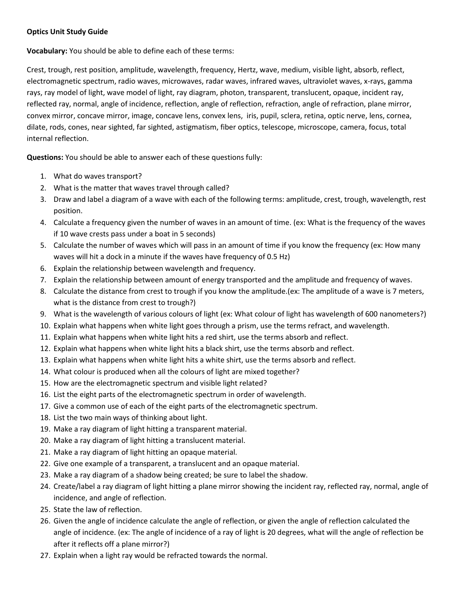## **Optics Unit Study Guide**

**Vocabulary:** You should be able to define each of these terms:

Crest, trough, rest position, amplitude, wavelength, frequency, Hertz, wave, medium, visible light, absorb, reflect, electromagnetic spectrum, radio waves, microwaves, radar waves, infrared waves, ultraviolet waves, x-rays, gamma rays, ray model of light, wave model of light, ray diagram, photon, transparent, translucent, opaque, incident ray, reflected ray, normal, angle of incidence, reflection, angle of reflection, refraction, angle of refraction, plane mirror, convex mirror, concave mirror, image, concave lens, convex lens, iris, pupil, sclera, retina, optic nerve, lens, cornea, dilate, rods, cones, near sighted, far sighted, astigmatism, fiber optics, telescope, microscope, camera, focus, total internal reflection.

**Questions:** You should be able to answer each of these questions fully:

- 1. What do waves transport?
- 2. What is the matter that waves travel through called?
- 3. Draw and label a diagram of a wave with each of the following terms: amplitude, crest, trough, wavelength, rest position.
- 4. Calculate a frequency given the number of waves in an amount of time. (ex: What is the frequency of the waves if 10 wave crests pass under a boat in 5 seconds)
- 5. Calculate the number of waves which will pass in an amount of time if you know the frequency (ex: How many waves will hit a dock in a minute if the waves have frequency of 0.5 Hz)
- 6. Explain the relationship between wavelength and frequency.
- 7. Explain the relationship between amount of energy transported and the amplitude and frequency of waves.
- 8. Calculate the distance from crest to trough if you know the amplitude.(ex: The amplitude of a wave is 7 meters, what is the distance from crest to trough?)
- 9. What is the wavelength of various colours of light (ex: What colour of light has wavelength of 600 nanometers?)
- 10. Explain what happens when white light goes through a prism, use the terms refract, and wavelength.
- 11. Explain what happens when white light hits a red shirt, use the terms absorb and reflect.
- 12. Explain what happens when white light hits a black shirt, use the terms absorb and reflect.
- 13. Explain what happens when white light hits a white shirt, use the terms absorb and reflect.
- 14. What colour is produced when all the colours of light are mixed together?
- 15. How are the electromagnetic spectrum and visible light related?
- 16. List the eight parts of the electromagnetic spectrum in order of wavelength.
- 17. Give a common use of each of the eight parts of the electromagnetic spectrum.
- 18. List the two main ways of thinking about light.
- 19. Make a ray diagram of light hitting a transparent material.
- 20. Make a ray diagram of light hitting a translucent material.
- 21. Make a ray diagram of light hitting an opaque material.
- 22. Give one example of a transparent, a translucent and an opaque material.
- 23. Make a ray diagram of a shadow being created; be sure to label the shadow.
- 24. Create/label a ray diagram of light hitting a plane mirror showing the incident ray, reflected ray, normal, angle of incidence, and angle of reflection.
- 25. State the law of reflection.
- 26. Given the angle of incidence calculate the angle of reflection, or given the angle of reflection calculated the angle of incidence. (ex: The angle of incidence of a ray of light is 20 degrees, what will the angle of reflection be after it reflects off a plane mirror?)
- 27. Explain when a light ray would be refracted towards the normal.